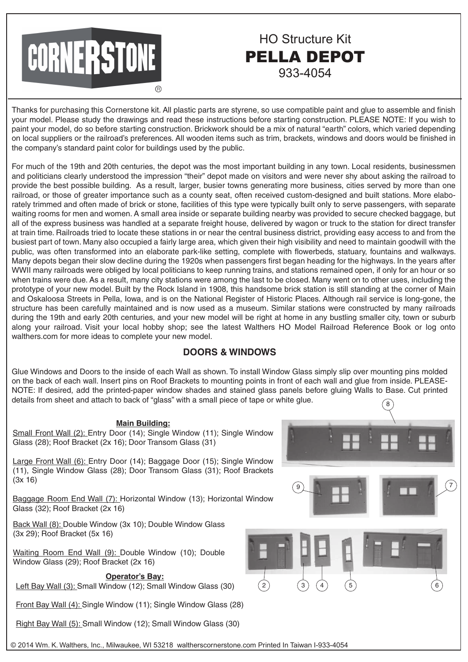

#### Thanks for purchasing this Cornerstone kit. All plastic parts are styrene, so use compatible paint and glue to assemble and finish your model. Please study the drawings and read these instructions before starting construction. PLEASE NOTE: If you wish to paint your model, do so before starting construction. Brickwork should be a mix of natural "earth" colors, which varied depending on local suppliers or the railroad's preferences. All wooden items such as trim, brackets, windows and doors would be finished in the company's standard paint color for buildings used by the public.

HO Structure Kit

PELLA DEPOT

933-4054

For much of the 19th and 20th centuries, the depot was the most important building in any town. Local residents, businessmen and politicians clearly understood the impression "their" depot made on visitors and were never shy about asking the railroad to provide the best possible building. As a result, larger, busier towns generating more business, cities served by more than one railroad, or those of greater importance such as a county seat, often received custom-designed and built stations. More elaborately trimmed and often made of brick or stone, facilities of this type were typically built only to serve passengers, with separate waiting rooms for men and women. A small area inside or separate building nearby was provided to secure checked baggage, but all of the express business was handled at a separate freight house, delivered by wagon or truck to the station for direct transfer at train time. Railroads tried to locate these stations in or near the central business district, providing easy access to and from the busiest part of town. Many also occupied a fairly large area, which given their high visibility and need to maintain goodwill with the public, was often transformed into an elaborate park-like setting, complete with flowerbeds, statuary, fountains and walkways. Many depots began their slow decline during the 1920s when passengers first began heading for the highways. In the years after WWII many railroads were obliged by local politicians to keep running trains, and stations remained open, if only for an hour or so when trains were due. As a result, many city stations were among the last to be closed. Many went on to other uses, including the prototype of your new model. Built by the Rock Island in 1908, this handsome brick station is still standing at the corner of Main and Oskaloosa Streets in Pella, Iowa, and is on the National Register of Historic Places. Although rail service is long-gone, the structure has been carefully maintained and is now used as a museum. Similar stations were constructed by many railroads during the 19th and early 20th centuries, and your new model will be right at home in any bustling smaller city, town or suburb along your railroad. Visit your local hobby shop; see the latest Walthers HO Model Railroad Reference Book or log onto walthers.com for more ideas to complete your new model.

# **DOORS & WINDOWS**

8 Glue Windows and Doors to the inside of each Wall as shown. To install Window Glass simply slip over mounting pins molded on the back of each wall. Insert pins on Roof Brackets to mounting points in front of each wall and glue from inside. PLEASE-NOTE: If desired, add the printed-paper window shades and stained glass panels before gluing Walls to Base. Cut printed details from sheet and attach to back of "glass" with a small piece of tape or white glue.

# **Main Building:**

Small Front Wall (2): Entry Door (14); Single Window (11); Single Window Glass (28); Roof Bracket (2x 16); Door Transom Glass (31)

Large Front Wall (6): Entry Door (14); Baggage Door (15); Single Window (11), Single Window Glass (28); Door Transom Glass (31); Roof Brackets (3x 16)

Baggage Room End Wall (7): Horizontal Window (13); Horizontal Window Glass (32); Roof Bracket (2x 16)

Back Wall (8): Double Window (3x 10); Double Window Glass (3x 29); Roof Bracket (5x 16)

Waiting Room End Wall (9): Double Window (10); Double Window Glass (29); Roof Bracket (2x 16)

#### **Operator's Bay:**

Left Bay Wall (3): Small Window (12); Small Window Glass (30)

Front Bay Wall (4): Single Window (11); Single Window Glass (28)

Right Bay Wall (5): Small Window (12); Small Window Glass (30)



7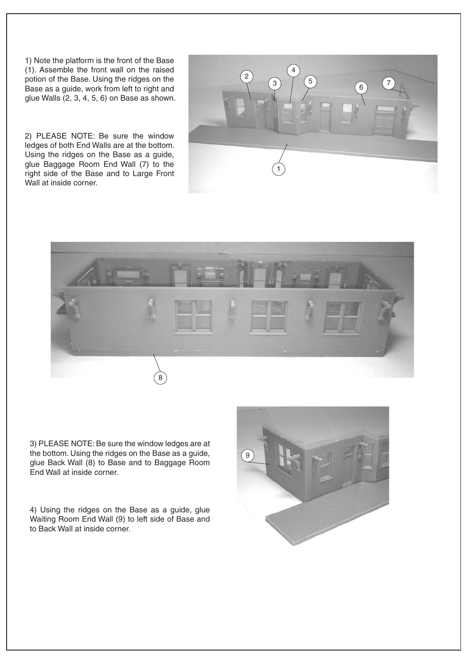1) Note the platform is the front of the Base (1). Assemble the front wall on the raised potion of the Base. Using the ridges on the Base as a guide, work from left to right and glue Walls (2, 3, 4, 5, 6) on Base as shown.

2) PLEASE NOTE: Be sure the window ledges of both End Walls are at the bottom. Using the ridges on the Base as a guide, glue Baggage Room End Wall (7) to the right side of the Base and to Large Front Wall at inside corner.





3) PLEASE NOTE: Be sure the window ledges are at the bottom. Using the ridges on the Base as a guide, glue Back Wall (8) to Base and to Baggage Room End Wall at inside corner.

4) Using the ridges on the Base as a guide, glue Waiting Room End Wall (9) to left side of Base and to Back Wall at inside corner.

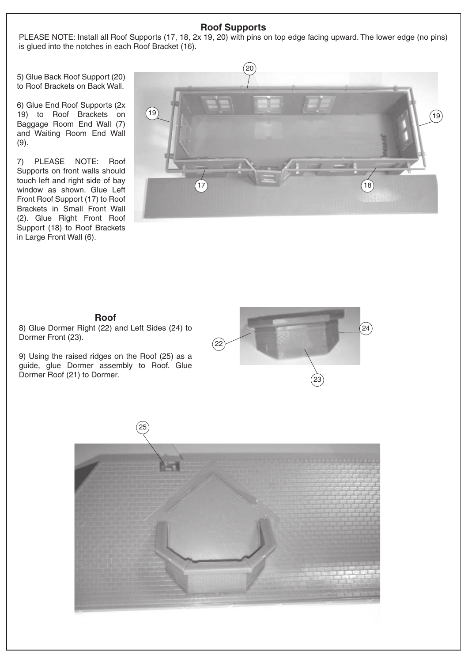## **Roof Supports**

PLEASE NOTE: Install all Roof Supports (17, 18, 2x 19, 20) with pins on top edge facing upward. The lower edge (no pins) is glued into the notches in each Roof Bracket (16).

5) Glue Back Roof Support (20) to Roof Brackets on Back Wall.

6) Glue End Roof Supports (2x 19) to Roof Brackets on Baggage Room End Wall (7) and Waiting Room End Wall (9).

7) PLEASE NOTE: Roof Supports on front walls should touch left and right side of bay window as shown. Glue Left Front Roof Support (17) to Roof Brackets in Small Front Wall (2). Glue Right Front Roof Support (18) to Roof Brackets in Large Front Wall (6).



# **Roof**

8) Glue Dormer Right (22) and Left Sides (24) to Dormer Front (23).

9) Using the raised ridges on the Roof (25) as a guide, glue Dormer assembly to Roof. Glue Dormer Roof (21) to Dormer.